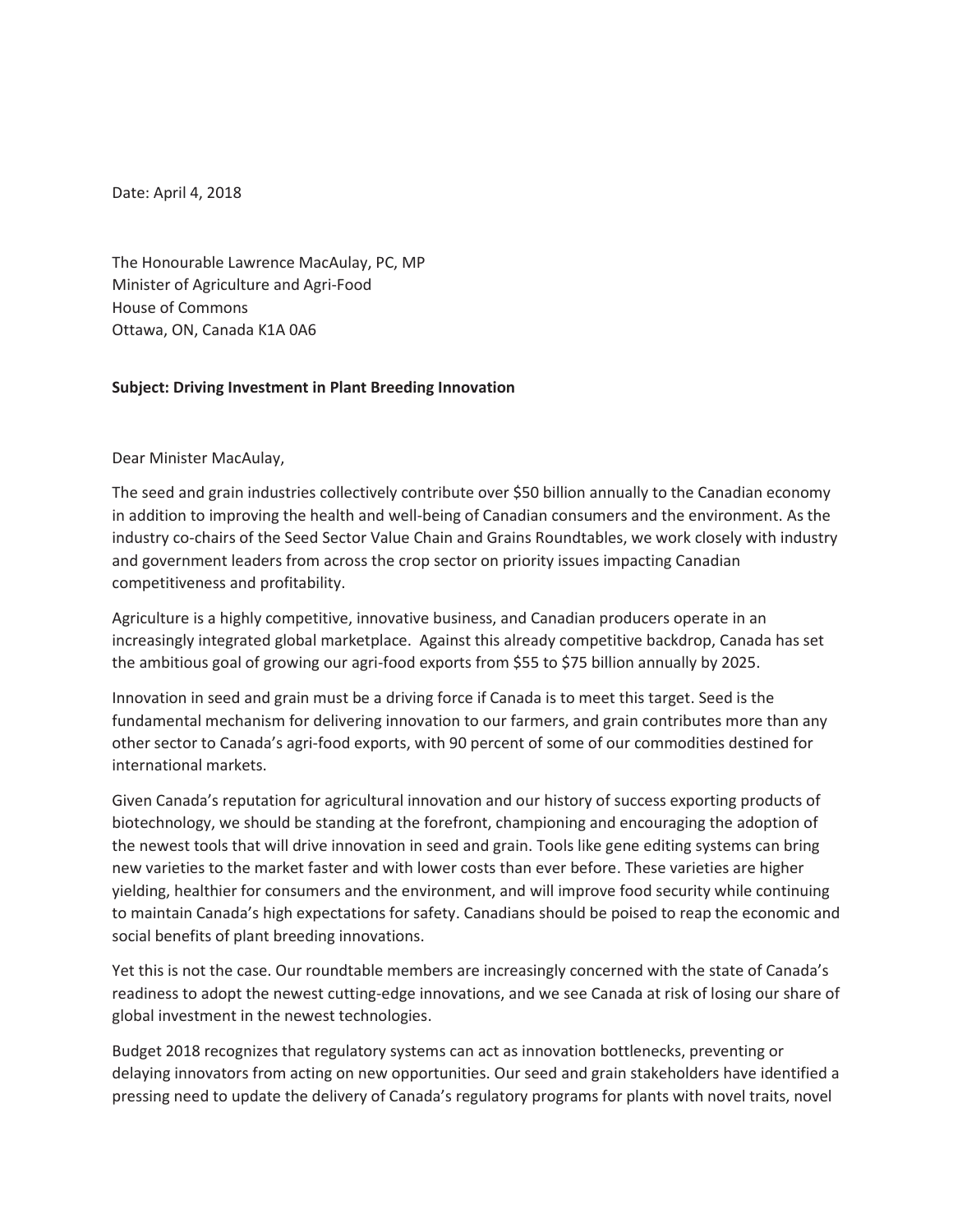Date: April 4, 2018

The Honourable Lawrence MacAulay, PC, MP Minister of Agriculture and Agri-Food House of Commons Ottawa, ON, Canada K1A 0A6

## **Subject: Driving Investment in Plant Breeding Innovation**

Dear Minister MacAulay,

The seed and grain industries collectively contribute over \$50 billion annually to the Canadian economy in addition to improving the health and well-being of Canadian consumers and the environment. As the industry co-chairs of the Seed Sector Value Chain and Grains Roundtables, we work closely with industry and government leaders from across the crop sector on priority issues impacting Canadian competitiveness and profitability.

Agriculture is a highly competitive, innovative business, and Canadian producers operate in an increasingly integrated global marketplace. Against this already competitive backdrop, Canada has set the ambitious goal of growing our agri-food exports from \$55 to \$75 billion annually by 2025.

Innovation in seed and grain must be a driving force if Canada is to meet this target. Seed is the fundamental mechanism for delivering innovation to our farmers, and grain contributes more than any other sector to Canada's agri-food exports, with 90 percent of some of our commodities destined for international markets.

Given Canada's reputation for agricultural innovation and our history of success exporting products of biotechnology, we should be standing at the forefront, championing and encouraging the adoption of the newest tools that will drive innovation in seed and grain. Tools like gene editing systems can bring new varieties to the market faster and with lower costs than ever before. These varieties are higher yielding, healthier for consumers and the environment, and will improve food security while continuing to maintain Canada's high expectations for safety. Canadians should be poised to reap the economic and social benefits of plant breeding innovations.

Yet this is not the case. Our roundtable members are increasingly concerned with the state of Canada's readiness to adopt the newest cutting-edge innovations, and we see Canada at risk of losing our share of global investment in the newest technologies.

Budget 2018 recognizes that regulatory systems can act as innovation bottlenecks, preventing or delaying innovators from acting on new opportunities. Our seed and grain stakeholders have identified a pressing need to update the delivery of Canada's regulatory programs for plants with novel traits, novel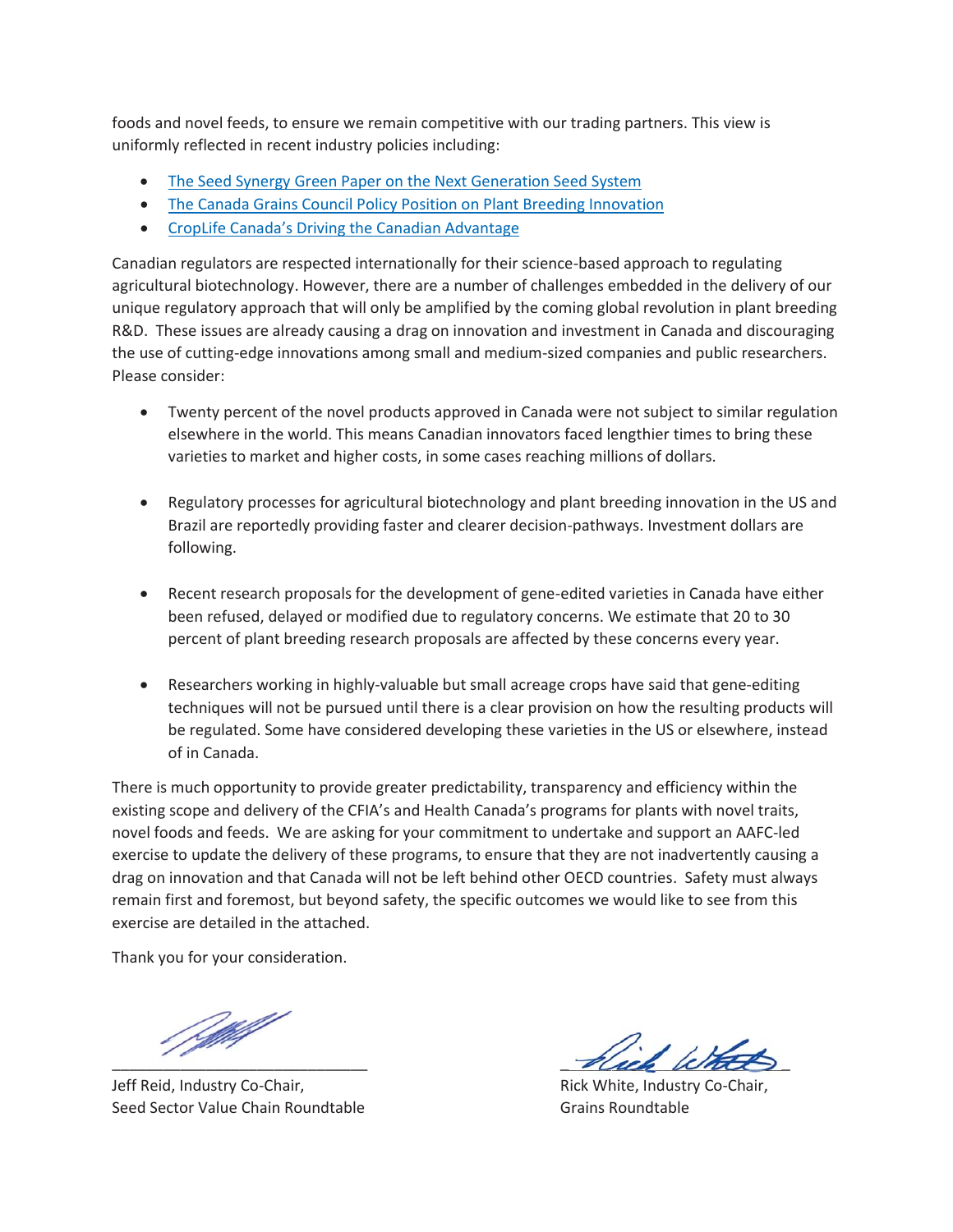foods and novel feeds, to ensure we remain competitive with our trading partners. This view is uniformly reflected in recent industry policies including:

- The Seed Synergy Green Paper on the Next Generation Seed System
- The Canada Grains Council Policy Position on Plant Breeding Innovation
- CropLife Canada's Driving the Canadian Advantage

Canadian regulators are respected internationally for their science-based approach to regulating agricultural biotechnology. However, there are a number of challenges embedded in the delivery of our unique regulatory approach that will only be amplified by the coming global revolution in plant breeding R&D. These issues are already causing a drag on innovation and investment in Canada and discouraging the use of cutting-edge innovations among small and medium-sized companies and public researchers. Please consider:

- Twenty percent of the novel products approved in Canada were not subject to similar regulation elsewhere in the world. This means Canadian innovators faced lengthier times to bring these varieties to market and higher costs, in some cases reaching millions of dollars.
- Regulatory processes for agricultural biotechnology and plant breeding innovation in the US and Brazil are reportedly providing faster and clearer decision-pathways. Investment dollars are following.
- Recent research proposals for the development of gene-edited varieties in Canada have either been refused, delayed or modified due to regulatory concerns. We estimate that 20 to 30 percent of plant breeding research proposals are affected by these concerns every year.
- Researchers working in highly-valuable but small acreage crops have said that gene-editing techniques will not be pursued until there is a clear provision on how the resulting products will be regulated. Some have considered developing these varieties in the US or elsewhere, instead of in Canada.

There is much opportunity to provide greater predictability, transparency and efficiency within the existing scope and delivery of the CFIA's and Health Canada's programs for plants with novel traits, novel foods and feeds. We are asking for your commitment to undertake and support an AAFC-led exercise to update the delivery of these programs, to ensure that they are not inadvertently causing a drag on innovation and that Canada will not be left behind other OECD countries. Safety must always remain first and foremost, but beyond safety, the specific outcomes we would like to see from this exercise are detailed in the attached.

Thank you for your consideration.

f Mill

Jeff Reid, Industry Co-Chair, The Communist Communist Rick White, Industry Co-Chair, Seed Sector Value Chain Roundtable Chain Coundtable Grains Roundtable

pluck letters Fluck White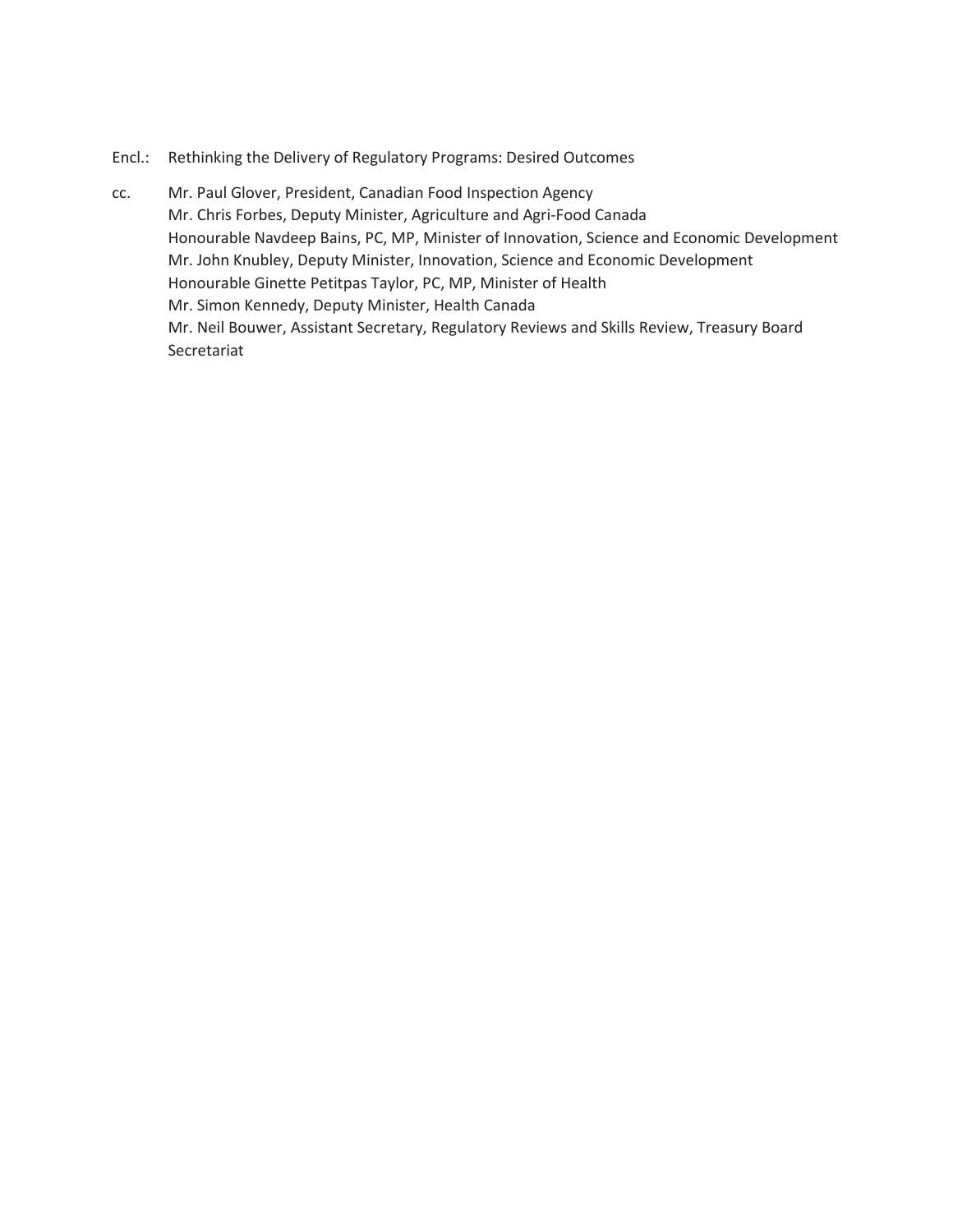## Encl.: Rethinking the Delivery of Regulatory Programs: Desired Outcomes

cc. Mr. Paul Glover, President, Canadian Food Inspection Agency Mr. Chris Forbes, Deputy Minister, Agriculture and Agri-Food Canada Honourable Navdeep Bains, PC, MP, Minister of Innovation, Science and Economic Development Mr. John Knubley, Deputy Minister, Innovation, Science and Economic Development Honourable Ginette Petitpas Taylor, PC, MP, Minister of Health Mr. Simon Kennedy, Deputy Minister, Health Canada Mr. Neil Bouwer, Assistant Secretary, Regulatory Reviews and Skills Review, Treasury Board Secretariat